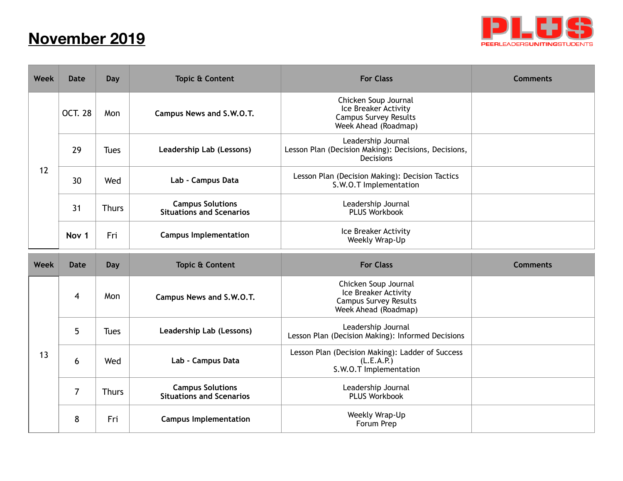## **November 2019**



| Week        | <b>Date</b>    | Day          | <b>Topic &amp; Content</b>                                 | <b>For Class</b>                                                                                     | <b>Comments</b> |
|-------------|----------------|--------------|------------------------------------------------------------|------------------------------------------------------------------------------------------------------|-----------------|
| 12          | <b>OCT. 28</b> | Mon          | Campus News and S.W.O.T.                                   | Chicken Soup Journal<br>Ice Breaker Activity<br><b>Campus Survey Results</b><br>Week Ahead (Roadmap) |                 |
|             | 29             | <b>Tues</b>  | Leadership Lab (Lessons)                                   | Leadership Journal<br>Lesson Plan (Decision Making): Decisions, Decisions,<br>Decisions              |                 |
|             | 30             | Wed          | Lab - Campus Data                                          | Lesson Plan (Decision Making): Decision Tactics<br>S.W.O.T Implementation                            |                 |
|             | 31             | <b>Thurs</b> | <b>Campus Solutions</b><br><b>Situations and Scenarios</b> | Leadership Journal<br><b>PLUS Workbook</b>                                                           |                 |
|             | Nov 1          | Fri          | <b>Campus Implementation</b>                               | Ice Breaker Activity<br>Weekly Wrap-Up                                                               |                 |
| <b>Week</b> | <b>Date</b>    | <b>Day</b>   | <b>Topic &amp; Content</b>                                 | <b>For Class</b>                                                                                     | <b>Comments</b> |
| 13          | 4              | Mon          | Campus News and S.W.O.T.                                   | Chicken Soup Journal<br>Ice Breaker Activity<br><b>Campus Survey Results</b><br>Week Ahead (Roadmap) |                 |
|             | 5              | <b>Tues</b>  | Leadership Lab (Lessons)                                   | Leadership Journal<br>Lesson Plan (Decision Making): Informed Decisions                              |                 |
|             | 6              | Wed          | Lab - Campus Data                                          | Lesson Plan (Decision Making): Ladder of Success<br>(L.E.A.P.)<br>S.W.O.T Implementation             |                 |
|             |                |              |                                                            |                                                                                                      |                 |
|             | $\overline{7}$ | <b>Thurs</b> | <b>Campus Solutions</b><br><b>Situations and Scenarios</b> | Leadership Journal<br><b>PLUS Workbook</b>                                                           |                 |